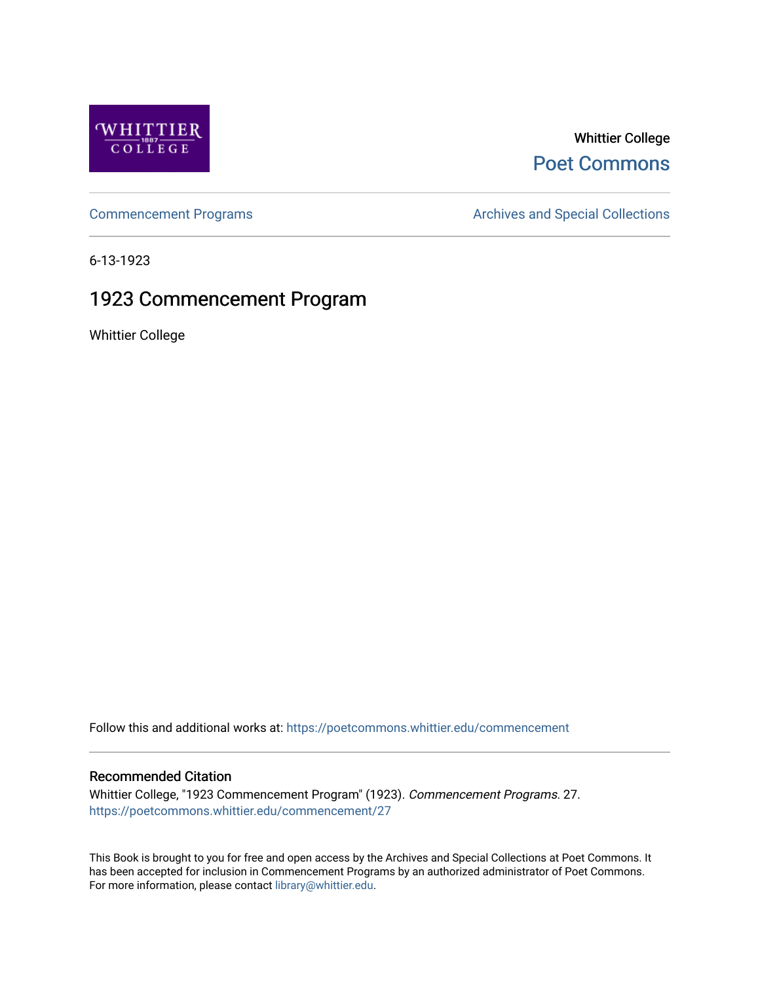

## Whittier College [Poet Commons](https://poetcommons.whittier.edu/)

[Commencement Programs](https://poetcommons.whittier.edu/commencement) **Archives and Special Collections** Archives and Special Collections

6-13-1923

# 1923 Commencement Program

Whittier College

Follow this and additional works at: [https://poetcommons.whittier.edu/commencement](https://poetcommons.whittier.edu/commencement?utm_source=poetcommons.whittier.edu%2Fcommencement%2F27&utm_medium=PDF&utm_campaign=PDFCoverPages) 

### Recommended Citation

Whittier College, "1923 Commencement Program" (1923). Commencement Programs. 27. [https://poetcommons.whittier.edu/commencement/27](https://poetcommons.whittier.edu/commencement/27?utm_source=poetcommons.whittier.edu%2Fcommencement%2F27&utm_medium=PDF&utm_campaign=PDFCoverPages)

This Book is brought to you for free and open access by the Archives and Special Collections at Poet Commons. It has been accepted for inclusion in Commencement Programs by an authorized administrator of Poet Commons. For more information, please contact [library@whittier.edu.](mailto:library@whittier.edu)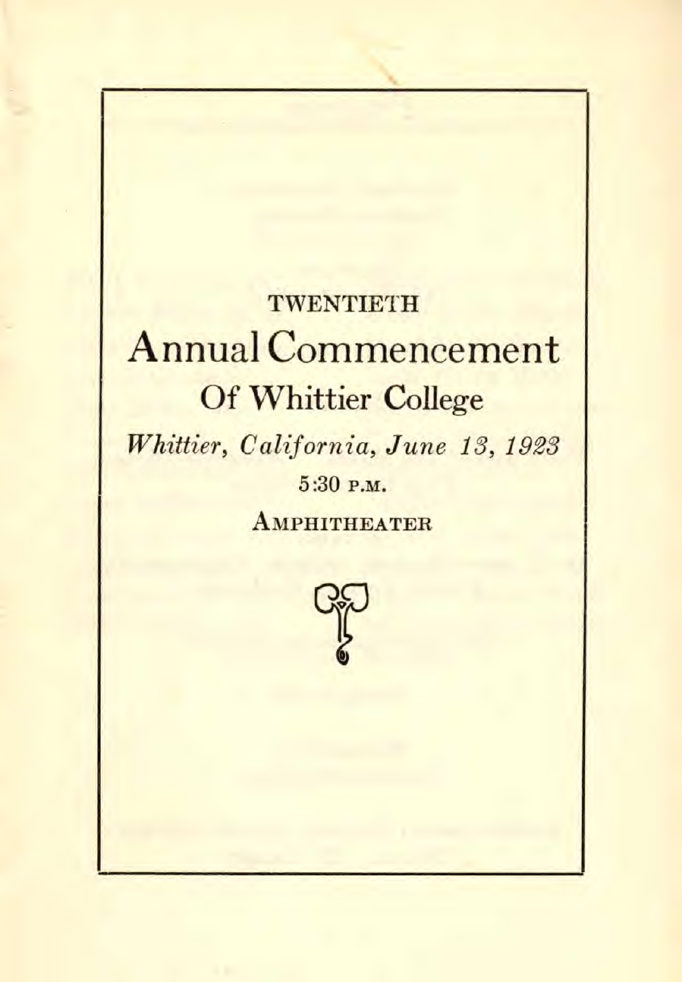# **TWENTIETH** Annual Commencement Of Whittier College

Whittier, California, June 13, 1923  $5:30$  P.M.

**AMPHITHEATER** 

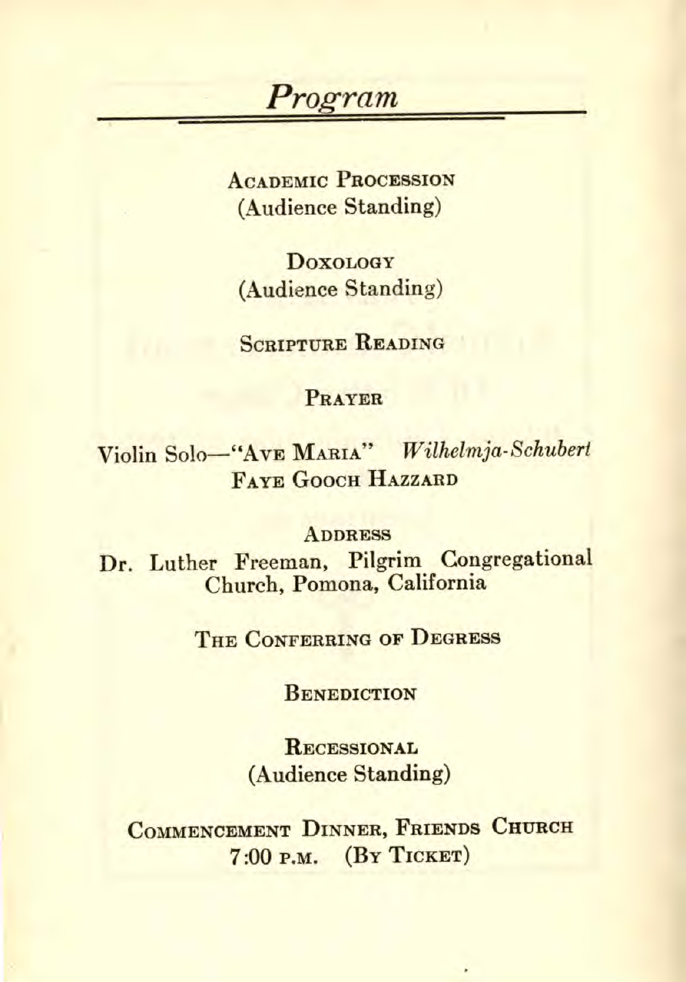### Program

ACADEMIC PROCESSION (Audience Standing)

**DOXOLOGY** (Audience Standing)

SCRIPTURE READING

#### PRAYER

Violin Solo—"AVE MARIA" Wilhelmja- Schubert FAYE GOOCH HAZZARD

#### **ADDRESS**

Dr. Luther Freeman, Pilgrim Congregational Church, Pomona, California

THE CONFERRING OF DEGRESS

**BENEDICTION** 

**RECESSIONAL** (Audience Standing)

COMMENCEMENT DINNER, FRIENDS CHURCH 7:00 P.M. (By TICKET)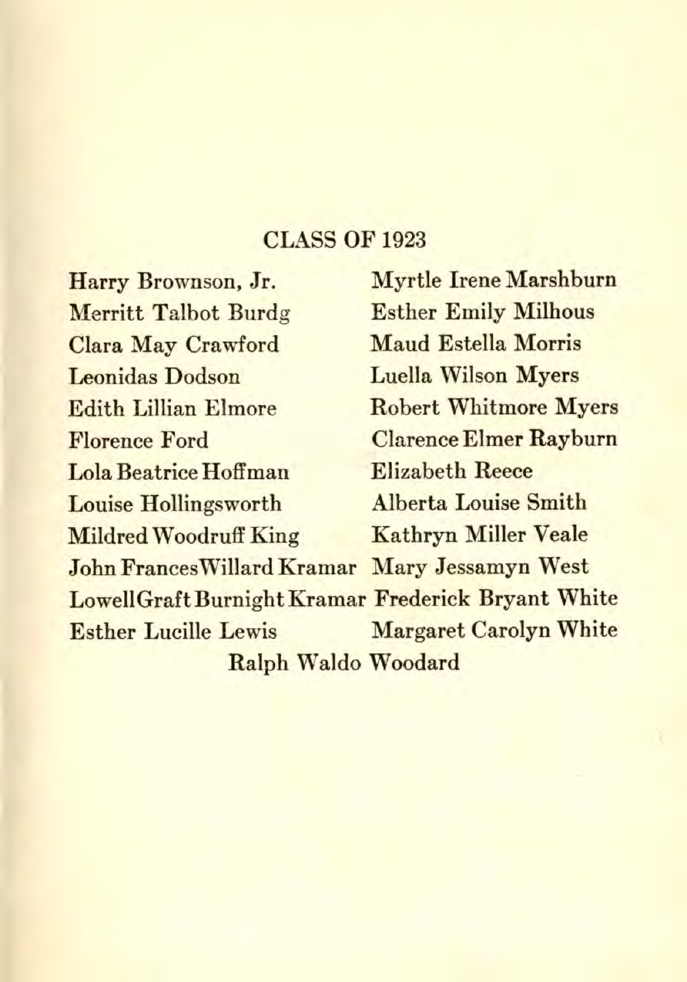### CLASS OF 1923

Harry Brownson, Jr. Merritt Talbot Burdg Clara May Crawford Leonidas Dodson Edith Lillian Elmore Florence Ford Lola Beatrice Hoffman Louise Hollingsworth Mildred Woodruff King John Frances Willard Kramar Mary Jessamyn West Myrtle Irene Marshburn Esther Emily Milhous Maud Estella Morris Luella Wilson Myers Robert Whitmore Myers Clarence Elmer Rayburn Elizabeth Reece Alberta Louise Smith Kathryn Miller Veale LowellGraft Burnight Kramar Frederick Bryant White Esther Lucille Lewis Margaret Carolyn White Ralph Waldo Woodard